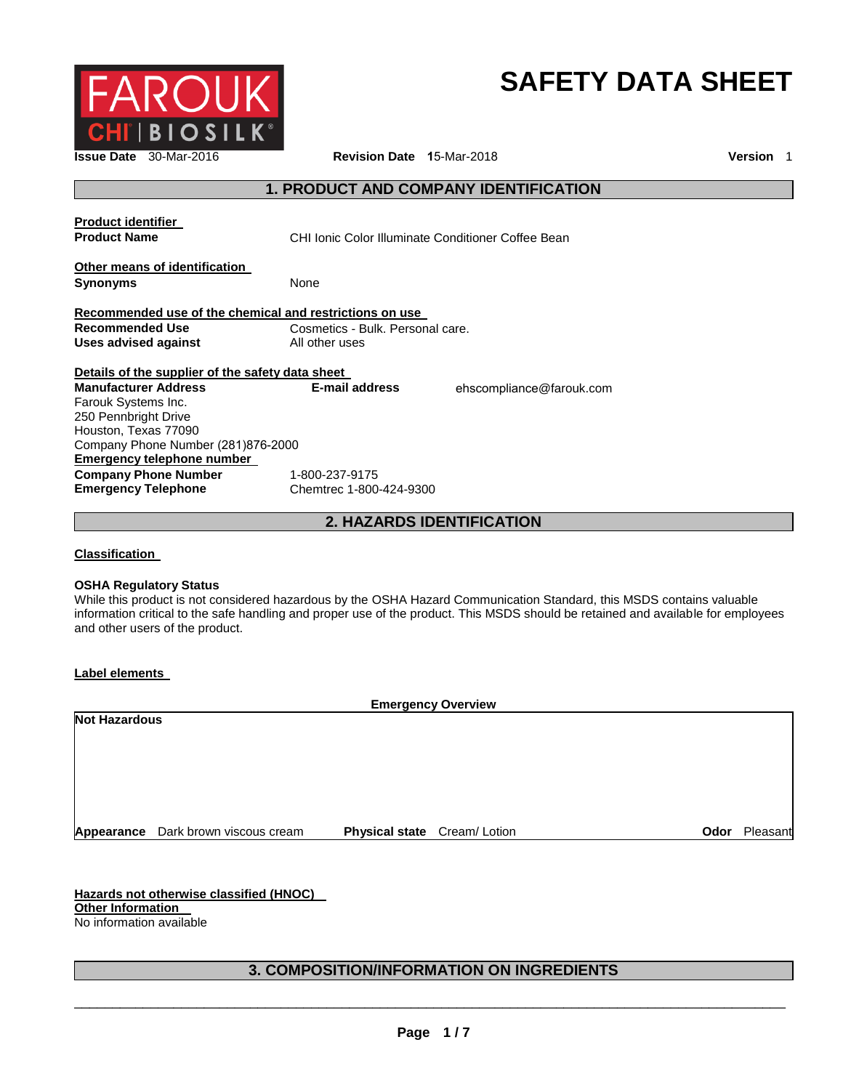

# **SAFETY DATA SHEET**

**Issue Date** 30-Mar-2016 **Revision Date 1**5-Mar-2018 **Version** 1

# **1. PRODUCT AND COMPANY IDENTIFICATION**

| <b>Product identifier</b><br><b>Product Name</b>           | CHI Ionic Color Illuminate Conditioner Coffee Bean |                          |  |
|------------------------------------------------------------|----------------------------------------------------|--------------------------|--|
| Other means of identification<br><b>Synonyms</b>           | None                                               |                          |  |
| Recommended use of the chemical and restrictions on use    |                                                    |                          |  |
| <b>Recommended Use</b><br>Uses advised against             | Cosmetics - Bulk. Personal care.<br>All other uses |                          |  |
|                                                            |                                                    |                          |  |
| Details of the supplier of the safety data sheet           |                                                    |                          |  |
| <b>Manufacturer Address</b>                                | <b>E-mail address</b>                              | ehscompliance@farouk.com |  |
| Farouk Systems Inc.                                        |                                                    |                          |  |
| 250 Pennbright Drive                                       |                                                    |                          |  |
| Houston, Texas 77090<br>Company Phone Number (281)876-2000 |                                                    |                          |  |
| Emergency telephone number                                 |                                                    |                          |  |
| <b>Company Phone Number</b>                                | 1-800-237-9175                                     |                          |  |
| <b>Emergency Telephone</b>                                 | Chemtrec 1-800-424-9300                            |                          |  |

**2. HAZARDS IDENTIFICATION**

**Classification** 

#### **OSHA Regulatory Status**

While this product is not considered hazardous by the OSHA Hazard Communication Standard, this MSDS contains valuable information critical to the safe handling and proper use of the product. This MSDS should be retained and available for employees and other users of the product.

#### **Label elements**

| <b>Emergency Overview</b> |                                     |                             |      |          |
|---------------------------|-------------------------------------|-----------------------------|------|----------|
| <b>Not Hazardous</b>      |                                     |                             |      |          |
|                           |                                     |                             |      |          |
|                           |                                     |                             |      |          |
|                           |                                     |                             |      |          |
|                           |                                     |                             |      |          |
|                           |                                     |                             |      |          |
|                           | Appearance Dark brown viscous cream | Physical state Cream/Lotion | Odor | Pleasant |

**Hazards not otherwise classified (HNOC) Other Information**  No information available

# **3. COMPOSITION/INFORMATION ON INGREDIENTS**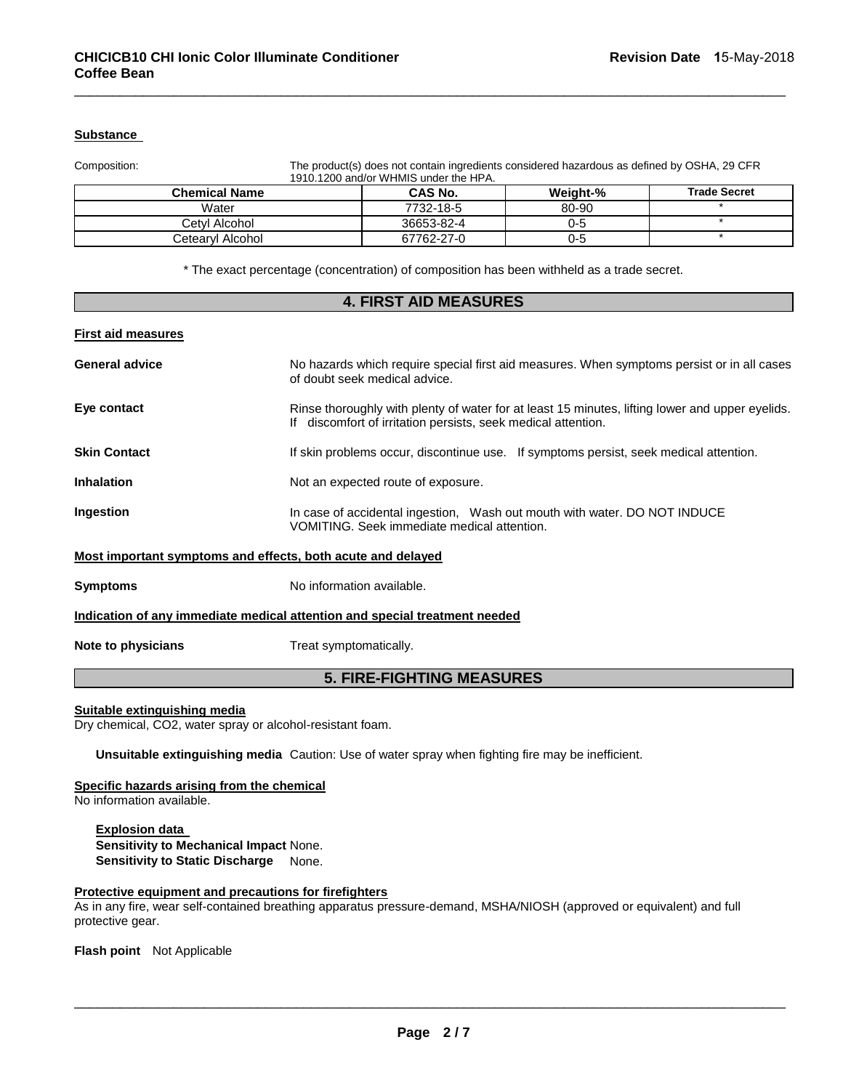#### **Substance**

Composition: The product(s) does not contain ingredients considered hazardous as defined by OSHA, 29 CFR 1910.1200 and/or WHMIS under the HPA.

| <b>Chemical Name</b> | <b>CAS No.</b> | <b>Weight-%</b> | <b>Trade Secret</b> |
|----------------------|----------------|-----------------|---------------------|
| Water                | 7732-18-5      | 80-90           |                     |
| Cetvl Alcohol        | 36653-82-4     | 0-5             |                     |
| Cetearvl Alcohol     | 67762-27-0     | 0-5             |                     |

\_\_\_\_\_\_\_\_\_\_\_\_\_\_\_\_\_\_\_\_\_\_\_\_\_\_\_\_\_\_\_\_\_\_\_\_\_\_\_\_\_\_\_\_\_\_\_\_\_\_\_\_\_\_\_\_\_\_\_\_\_\_\_\_\_\_\_\_\_\_\_\_\_\_\_\_\_\_\_\_\_\_\_\_\_\_\_\_\_\_\_\_\_

\* The exact percentage (concentration) of composition has been withheld as a trade secret.

| <b>4. FIRST AID MEASURES</b>     |                                                                                                                                                                  |  |
|----------------------------------|------------------------------------------------------------------------------------------------------------------------------------------------------------------|--|
| <b>First aid measures</b>        |                                                                                                                                                                  |  |
| <b>General advice</b>            | No hazards which require special first aid measures. When symptoms persist or in all cases<br>of doubt seek medical advice.                                      |  |
| Eye contact                      | Rinse thoroughly with plenty of water for at least 15 minutes, lifting lower and upper eyelids.<br>If discomfort of irritation persists, seek medical attention. |  |
| <b>Skin Contact</b>              | If skin problems occur, discontinue use. If symptoms persist, seek medical attention.                                                                            |  |
| <b>Inhalation</b>                | Not an expected route of exposure.                                                                                                                               |  |
| Ingestion                        | In case of accidental ingestion, Wash out mouth with water. DO NOT INDUCE<br>VOMITING. Seek immediate medical attention.                                         |  |
|                                  | Most important symptoms and effects, both acute and delayed                                                                                                      |  |
| <b>Symptoms</b>                  | No information available.                                                                                                                                        |  |
|                                  | Indication of any immediate medical attention and special treatment needed                                                                                       |  |
| Note to physicians               | Treat symptomatically.                                                                                                                                           |  |
| <b>5. FIRE-FIGHTING MEASURES</b> |                                                                                                                                                                  |  |

#### **Suitable extinguishing media**

Dry chemical, CO2, water spray or alcohol-resistant foam.

**Unsuitable extinguishing media** Caution: Use of water spray when fighting fire may be inefficient.

#### **Specific hazards arising from the chemical**

No information available.

**Explosion data Sensitivity to Mechanical Impact** None. **Sensitivity to Static Discharge** None.

#### **Protective equipment and precautions for firefighters**

As in any fire, wear self-contained breathing apparatus pressure-demand, MSHA/NIOSH (approved or equivalent) and full protective gear.

**Flash point** Not Applicable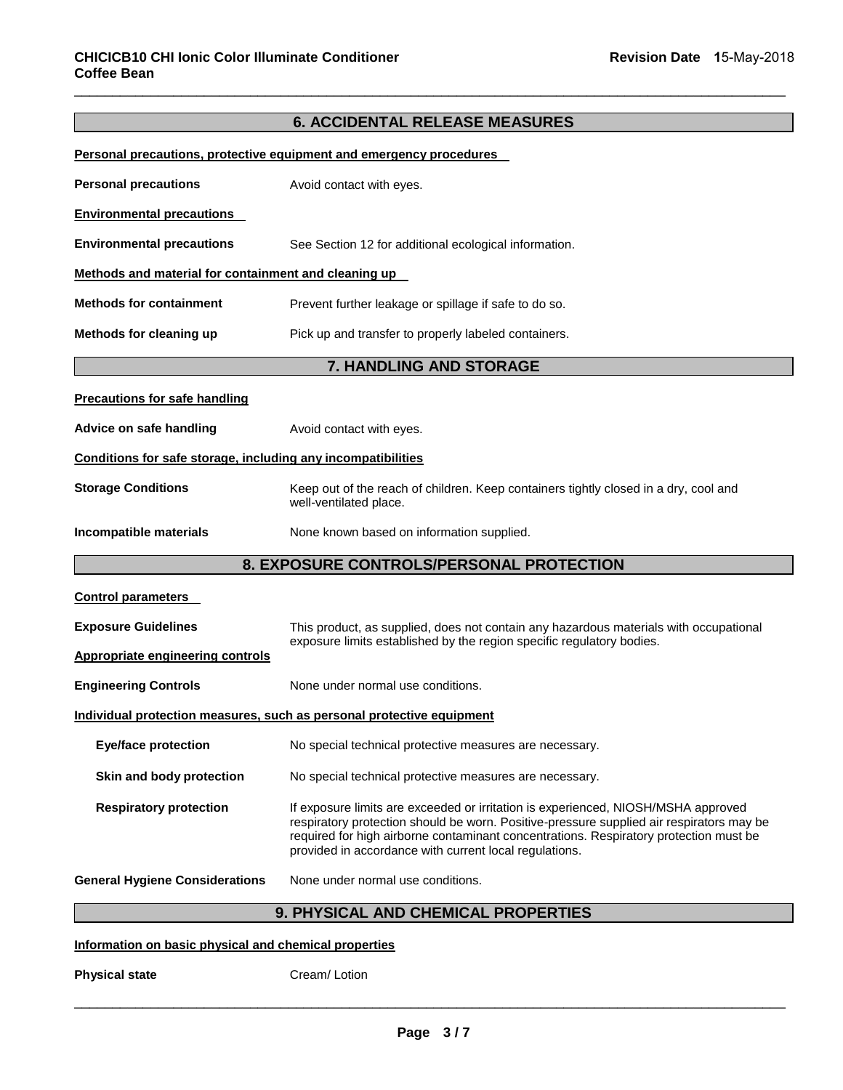# **6. ACCIDENTAL RELEASE MEASURES**

\_\_\_\_\_\_\_\_\_\_\_\_\_\_\_\_\_\_\_\_\_\_\_\_\_\_\_\_\_\_\_\_\_\_\_\_\_\_\_\_\_\_\_\_\_\_\_\_\_\_\_\_\_\_\_\_\_\_\_\_\_\_\_\_\_\_\_\_\_\_\_\_\_\_\_\_\_\_\_\_\_\_\_\_\_\_\_\_\_\_\_\_\_

| <b>Personal precautions, protective equipment and emergency procedures</b> |                                                                                                                                                                                                                                                                                                                                  |  |  |
|----------------------------------------------------------------------------|----------------------------------------------------------------------------------------------------------------------------------------------------------------------------------------------------------------------------------------------------------------------------------------------------------------------------------|--|--|
| <b>Personal precautions</b>                                                | Avoid contact with eyes.                                                                                                                                                                                                                                                                                                         |  |  |
| <b>Environmental precautions</b>                                           |                                                                                                                                                                                                                                                                                                                                  |  |  |
| <b>Environmental precautions</b>                                           | See Section 12 for additional ecological information.                                                                                                                                                                                                                                                                            |  |  |
| Methods and material for containment and cleaning up                       |                                                                                                                                                                                                                                                                                                                                  |  |  |
| <b>Methods for containment</b>                                             | Prevent further leakage or spillage if safe to do so.                                                                                                                                                                                                                                                                            |  |  |
| Methods for cleaning up                                                    | Pick up and transfer to properly labeled containers.                                                                                                                                                                                                                                                                             |  |  |
|                                                                            | 7. HANDLING AND STORAGE                                                                                                                                                                                                                                                                                                          |  |  |
| <b>Precautions for safe handling</b>                                       |                                                                                                                                                                                                                                                                                                                                  |  |  |
| Advice on safe handling                                                    | Avoid contact with eyes.                                                                                                                                                                                                                                                                                                         |  |  |
| Conditions for safe storage, including any incompatibilities               |                                                                                                                                                                                                                                                                                                                                  |  |  |
| <b>Storage Conditions</b>                                                  | Keep out of the reach of children. Keep containers tightly closed in a dry, cool and<br>well-ventilated place.                                                                                                                                                                                                                   |  |  |
| Incompatible materials                                                     | None known based on information supplied.                                                                                                                                                                                                                                                                                        |  |  |
| 8. EXPOSURE CONTROLS/PERSONAL PROTECTION                                   |                                                                                                                                                                                                                                                                                                                                  |  |  |
| <b>Control parameters</b>                                                  |                                                                                                                                                                                                                                                                                                                                  |  |  |
| <b>Exposure Guidelines</b>                                                 | This product, as supplied, does not contain any hazardous materials with occupational                                                                                                                                                                                                                                            |  |  |
| <b>Appropriate engineering controls</b>                                    | exposure limits established by the region specific regulatory bodies.                                                                                                                                                                                                                                                            |  |  |
| <b>Engineering Controls</b>                                                | None under normal use conditions.                                                                                                                                                                                                                                                                                                |  |  |
| Individual protection measures, such as personal protective equipment      |                                                                                                                                                                                                                                                                                                                                  |  |  |
| <b>Eye/face protection</b>                                                 | No special technical protective measures are necessary.                                                                                                                                                                                                                                                                          |  |  |
| Skin and body protection                                                   | No special technical protective measures are necessary.                                                                                                                                                                                                                                                                          |  |  |
| <b>Respiratory protection</b>                                              | If exposure limits are exceeded or irritation is experienced, NIOSH/MSHA approved<br>respiratory protection should be worn. Positive-pressure supplied air respirators may be<br>required for high airborne contaminant concentrations. Respiratory protection must be<br>provided in accordance with current local regulations. |  |  |
| <b>General Hygiene Considerations</b>                                      | None under normal use conditions.                                                                                                                                                                                                                                                                                                |  |  |
|                                                                            | 9. PHYSICAL AND CHEMICAL PROPERTIES                                                                                                                                                                                                                                                                                              |  |  |

#### **Information on basic physical and chemical properties**

**Physical state Cream/ Lotion**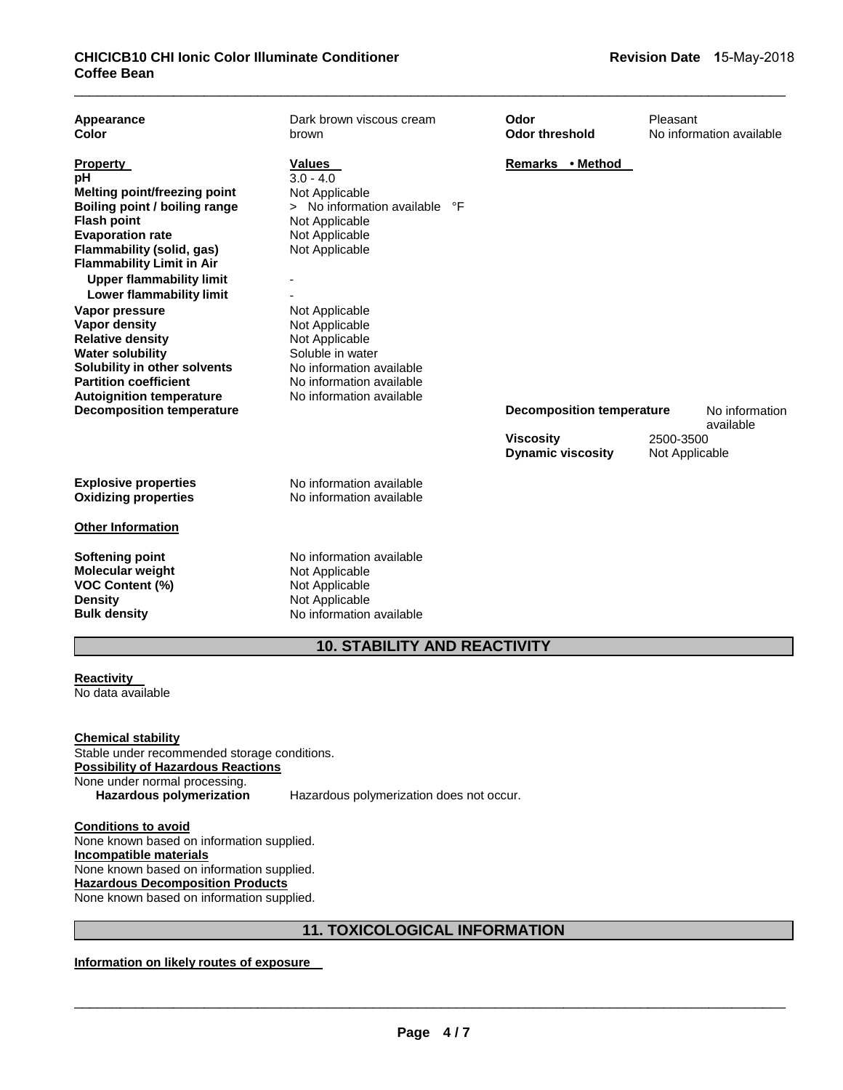| Appearance<br>Color                                                                                                                                                                                                                                                                                                                                                                                                                                                        | Dark brown viscous cream<br>brown                                                                                                                                                                                                                                                                      | Odor<br><b>Odor threshold</b>                | Pleasant<br>No information available |
|----------------------------------------------------------------------------------------------------------------------------------------------------------------------------------------------------------------------------------------------------------------------------------------------------------------------------------------------------------------------------------------------------------------------------------------------------------------------------|--------------------------------------------------------------------------------------------------------------------------------------------------------------------------------------------------------------------------------------------------------------------------------------------------------|----------------------------------------------|--------------------------------------|
| <b>Property</b><br>рH<br>Melting point/freezing point<br>Boiling point / boiling range<br><b>Flash point</b><br><b>Evaporation rate</b><br>Flammability (solid, gas)<br><b>Flammability Limit in Air</b><br><b>Upper flammability limit</b><br>Lower flammability limit<br>Vapor pressure<br><b>Vapor density</b><br><b>Relative density</b><br><b>Water solubility</b><br>Solubility in other solvents<br><b>Partition coefficient</b><br><b>Autoignition temperature</b> | <b>Values</b><br>$3.0 - 4.0$<br>Not Applicable<br>> No information available<br>°F<br>Not Applicable<br>Not Applicable<br>Not Applicable<br>Not Applicable<br>Not Applicable<br>Not Applicable<br>Soluble in water<br>No information available<br>No information available<br>No information available | Remarks • Method                             |                                      |
| <b>Decomposition temperature</b>                                                                                                                                                                                                                                                                                                                                                                                                                                           |                                                                                                                                                                                                                                                                                                        | <b>Decomposition temperature</b>             | No information<br>available          |
|                                                                                                                                                                                                                                                                                                                                                                                                                                                                            |                                                                                                                                                                                                                                                                                                        | <b>Viscosity</b><br><b>Dynamic viscosity</b> | 2500-3500<br>Not Applicable          |
| <b>Explosive properties</b><br><b>Oxidizing properties</b>                                                                                                                                                                                                                                                                                                                                                                                                                 | No information available<br>No information available                                                                                                                                                                                                                                                   |                                              |                                      |
| <b>Other Information</b>                                                                                                                                                                                                                                                                                                                                                                                                                                                   |                                                                                                                                                                                                                                                                                                        |                                              |                                      |
| <b>Softening point</b><br><b>Molecular weight</b><br><b>VOC Content (%)</b><br><b>Density</b><br><b>Bulk density</b>                                                                                                                                                                                                                                                                                                                                                       | No information available<br>Not Applicable<br>Not Applicable<br>Not Applicable<br>No information available                                                                                                                                                                                             |                                              |                                      |

# **10. STABILITY AND REACTIVITY**

**Reactivity**  No data available

**Chemical stability** Stable under recommended storage conditions. **Possibility of Hazardous Reactions** None under normal processing.<br>Hazardous polymerization

**Hazardous polymerization** Hazardous polymerization does not occur.

**Conditions to avoid** None known based on information supplied. **Incompatible materials** None known based on information supplied. **Hazardous Decomposition Products** None known based on information supplied.

# **11. TOXICOLOGICAL INFORMATION**

**Information on likely routes of exposure**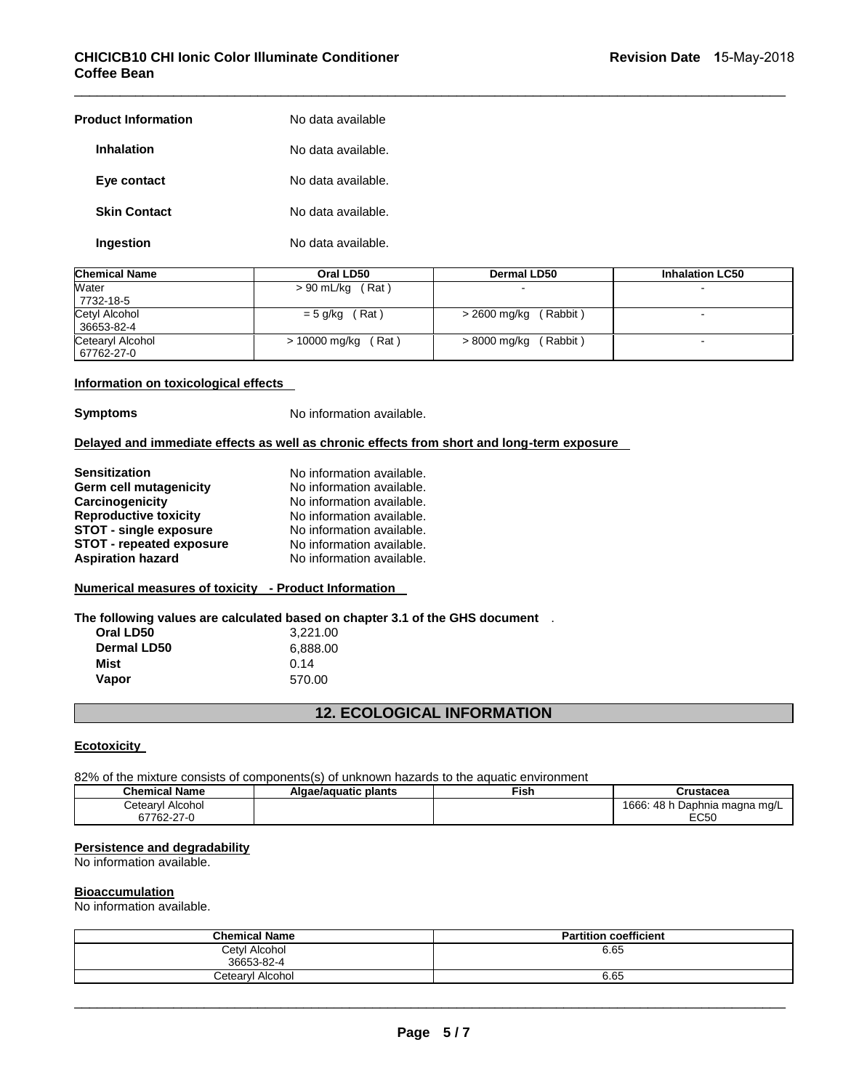| <b>Product Information</b> | No data available  |
|----------------------------|--------------------|
| <b>Inhalation</b>          | No data available. |
| Eye contact                | No data available. |
| <b>Skin Contact</b>        | No data available. |
| Ingestion                  | No data available. |

| <b>Chemical Name</b> | Oral LD50          | Dermal LD50  | <b>Inhalation LC50</b> |
|----------------------|--------------------|--------------|------------------------|
| Water<br>7732-18-5   | $> 90$ mL/kg (Rat) |              |                        |
| Cetyl Alcohol        | (Rat)              | (Rabbit)     |                        |
| 36653-82-4           | $= 5$ g/kg         | > 2600 mg/kg |                        |
| Cetearyl Alcohol     | > 10000 mg/kg      | > 8000 mg/kg | -                      |
| 67762-27-0           | (Rat)              | (Rabbit)     |                        |

\_\_\_\_\_\_\_\_\_\_\_\_\_\_\_\_\_\_\_\_\_\_\_\_\_\_\_\_\_\_\_\_\_\_\_\_\_\_\_\_\_\_\_\_\_\_\_\_\_\_\_\_\_\_\_\_\_\_\_\_\_\_\_\_\_\_\_\_\_\_\_\_\_\_\_\_\_\_\_\_\_\_\_\_\_\_\_\_\_\_\_\_\_

#### **Information on toxicological effects**

**Symptoms** No information available.

#### **Delayed and immediate effects as well as chronic effects from short and long-term exposure**

| No information available. |
|---------------------------|
|                           |
| No information available. |
| No information available. |
| No information available. |
| No information available. |
| No information available. |
|                           |

#### **Numerical measures of toxicity - Product Information**

**The following values are calculated based on chapter 3.1 of the GHS document** .

| Oral LD50   | 3,221.00 |
|-------------|----------|
| Dermal LD50 | 6,888.00 |
| Mist        | 0.14     |
| Vapor       | 570.00   |

## **12. ECOLOGICAL INFORMATION**

#### **Ecotoxicity**

82% of the mixture consists of components(s) of unknown hazards to the aquatic environment

| Chemical Name         | Algae/aguatic plants | Fish. | Crustacea                            |
|-----------------------|----------------------|-------|--------------------------------------|
| etearylٽ<br>I Alcohol |                      |       | 1666:<br>48 h<br>⊨Daphnia maɑna mɑ/L |
| 67762-27-0            |                      |       | EC50                                 |

#### **Persistence and degradability**

No information available.

#### **Bioaccumulation**

No information available.

| <b>Chemical Name</b> | <b>Partition coefficient</b> |
|----------------------|------------------------------|
| Cetyl Alcohol        | 6.65                         |
| 36653-82-4           |                              |
| Cetearyl Alcohol     | 6.65                         |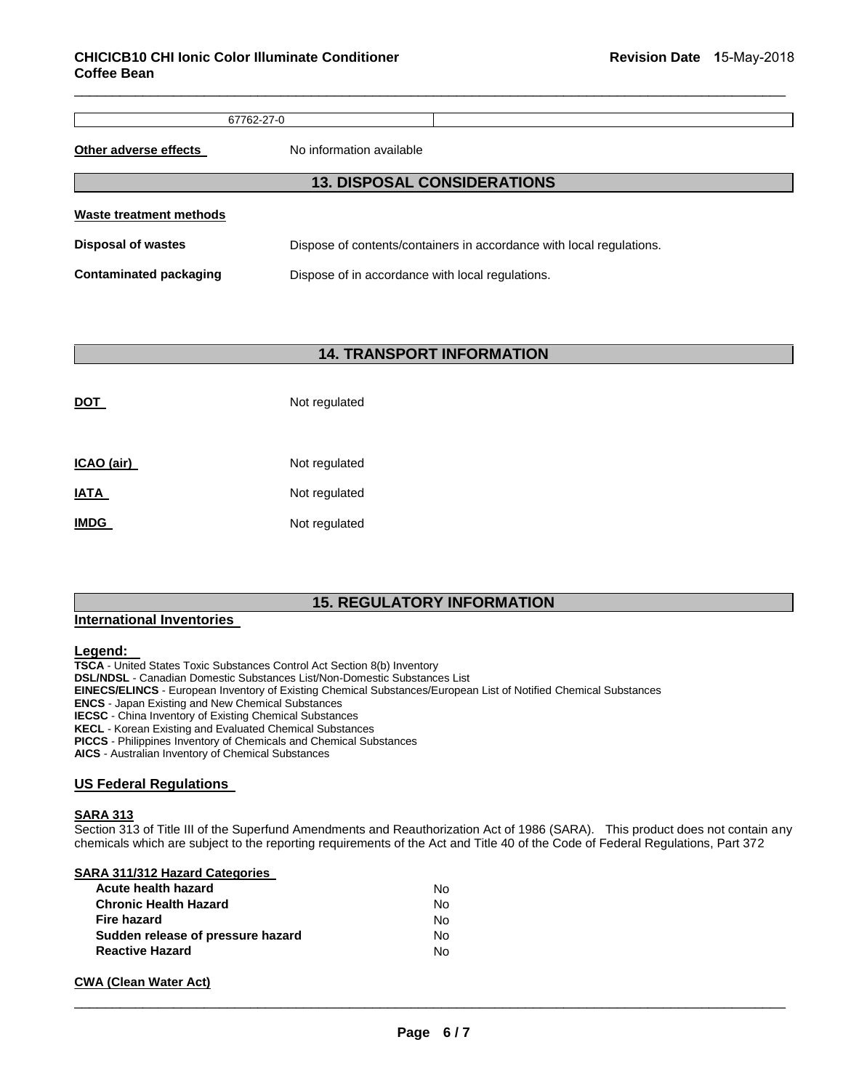67762-27-0

\_\_\_\_\_\_\_\_\_\_\_\_\_\_\_\_\_\_\_\_\_\_\_\_\_\_\_\_\_\_\_\_\_\_\_\_\_\_\_\_\_\_\_\_\_\_\_\_\_\_\_\_\_\_\_\_\_\_\_\_\_\_\_\_\_\_\_\_\_\_\_\_\_\_\_\_\_\_\_\_\_\_\_\_\_\_\_\_\_\_\_\_\_

**Other adverse effects** No information available

# **13. DISPOSAL CONSIDERATIONS Waste treatment methods Disposal of wastes** Dispose of contents/containers in accordance with local regulations.

**Contaminated packaging <b>Dispose** of in accordance with local regulations.

#### **14. TRANSPORT INFORMATION**

| DOT               | Not regulated |  |  |
|-------------------|---------------|--|--|
| <u>ICAO (air)</u> | Not regulated |  |  |
| IATA              | Not regulated |  |  |
| <b>IMDG</b>       | Not regulated |  |  |

### **15. REGULATORY INFORMATION**

#### **International Inventories**

#### **Legend:**

**TSCA** - United States Toxic Substances Control Act Section 8(b) Inventory **DSL/NDSL** - Canadian Domestic Substances List/Non-Domestic Substances List **EINECS/ELINCS** - European Inventory of Existing Chemical Substances/European List of Notified Chemical Substances **ENCS** - Japan Existing and New Chemical Substances **IECSC** - China Inventory of Existing Chemical Substances **KECL** - Korean Existing and Evaluated Chemical Substances **PICCS** - Philippines Inventory of Chemicals and Chemical Substances

**AICS** - Australian Inventory of Chemical Substances

#### **US Federal Regulations**

#### **SARA 313**

Section 313 of Title III of the Superfund Amendments and Reauthorization Act of 1986 (SARA). This product does not contain any chemicals which are subject to the reporting requirements of the Act and Title 40 of the Code of Federal Regulations, Part 372

#### **SARA 311/312 Hazard Categories**

| Acute health hazard               | N٥ |
|-----------------------------------|----|
| <b>Chronic Health Hazard</b>      | N٥ |
| <b>Fire hazard</b>                | N٥ |
| Sudden release of pressure hazard | N٥ |
| <b>Reactive Hazard</b>            | N٥ |

#### **CWA (Clean Water Act)**